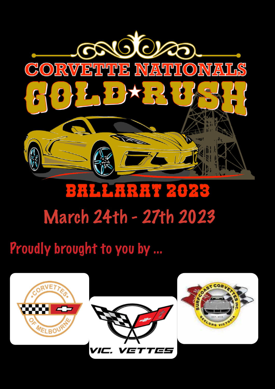

## BHL HRHT 2026 March 24th - 27th 2023

### Proudly brought to you by ...

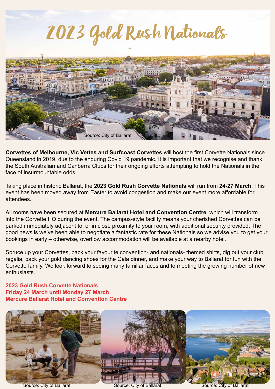# 2023 Gold Rush Nationals



**Corvettes of Melbourne, Vic Vettes and Surfcoast Corvettes** will host the first Corvette Nationals since Queensland in 2019, due to the enduring Covid 19 pandemic. It is important that we recognise and thank the South Australian and Canberra Clubs for their ongoing efforts attempting to hold the Nationals in the face of insurmountable odds.

Taking place in historic Ballarat, the **2023 Gold Rush Corvette Nationals** will run from **24-27 March**. This event has been moved away from Easter to avoid congestion and make our event more affordable for attendees.

All rooms have been secured at **Mercure Ballarat Hotel and Convention Centre**, which will transform into the Corvette HQ during the event. The campus-style facility means your cherished Corvettes can be parked immediately adjacent to, or in close proximity to your room, with additional security provided. The good news is we've been able to negotiate a fantastic rate for these Nationals so we advise you to get your bookings in early – otherwise, overflow accommodation will be available at a nearby hotel.

Spruce up your Corvettes, pack your favourite convention- and nationals- themed shirts, dig out your club regalia, pack your gold dancing shoes for the Gala dinner, and make your way to Ballarat for fun with the Corvette family. We look forward to seeing many familiar faces and to meeting the growing number of new **enthusiasts** 

#### **2023 Gold Rush Corvette Nationals Friday 24 March until Monday 27 March Mercure Ballarat Hotel and Convention Centre**

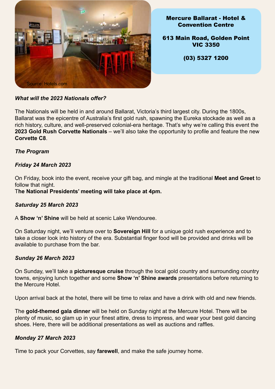

Mercure Ballarat - Hotel & Convention Centre

613 Main Road, Golden Point VIC 3350

(03) 5327 1200

#### *What will the 2023 Nationals offer?*

The Nationals will be held in and around Ballarat, Victoria's third largest city. During the 1800s, Ballarat was the epicentre of Australia's first gold rush, spawning the Eureka stockade as well as a rich history, culture, and well-preserved colonial-era heritage. That's why we're calling this event the **2023 Gold Rush Corvette Nationals** – we'll also take the opportunity to profile and feature the new **Corvette C8**.

#### *The Program*

#### *Friday 24 March 2023*

On Friday, book into the event, receive your gift bag, and mingle at the traditional **Meet and Greet** to follow that night.

T**he National Presidents' meeting will take place at 4pm.**

#### *Saturday 25 March 2023*

A **Show 'n' Shine** will be held at scenic Lake Wendouree.

On Saturday night, we'll venture over to **Sovereign Hill** for a unique gold rush experience and to take a closer look into history of the era. Substantial finger food will be provided and drinks will be available to purchase from the bar.

#### *Sunday 26 March 2023*

On Sunday, we'll take a **picturesque cruise** through the local gold country and surrounding country towns, enjoying lunch together and some **Show 'n' Shine awards** presentations before returning to the Mercure Hotel.

Upon arrival back at the hotel, there will be time to relax and have a drink with old and new friends.

The **gold-themed gala dinner** will be held on Sunday night at the Mercure Hotel. There will be plenty of music, so glam up in your finest attire, dress to impress, and wear your best gold dancing shoes. Here, there will be additional presentations as well as auctions and raffles.

#### *Monday 27 March 2023*

Time to pack your Corvettes, say **farewell**, and make the safe journey home.